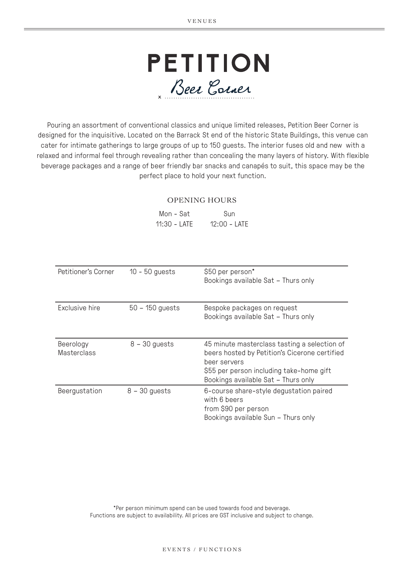

Pouring an assortment of conventional classics and unique limited releases, Petition Beer Corner is designed for the inquisitive. Located on the Barrack St end of the historic State Buildings, this venue can cater for intimate gatherings to large groups of up to 150 guests. The interior fuses old and new with a relaxed and informal feel through revealing rather than concealing the many layers of history. With flexible beverage packages and a range of beer friendly bar snacks and canapés to suit, this space may be the perfect place to hold your next function.

#### OPENING HOURS

| Mon - Sat    | Sun          |
|--------------|--------------|
| 11:30 - LATE | 12:00 - LATE |

| Petitioner's Corner             | $10 - 50$ guests  | \$50 per person*<br>Bookings available Sat - Thurs only                                                                                                                                          |
|---------------------------------|-------------------|--------------------------------------------------------------------------------------------------------------------------------------------------------------------------------------------------|
| Exclusive hire                  | $50 - 150$ guests | Bespoke packages on request<br>Bookings available Sat - Thurs only                                                                                                                               |
| Beerology<br><b>Masterclass</b> | $8 - 30$ guests   | 45 minute masterclass tasting a selection of<br>beers hosted by Petition's Cicerone certified<br>beer servers<br>\$55 per person including take-home gift<br>Bookings available Sat - Thurs only |
| Beergustation                   | $8 - 30$ guests   | 6-course share-style degustation paired<br>with 6 beers<br>from \$90 per person<br>Bookings available Sun - Thurs only                                                                           |

\*Per person minimum spend can be used towards food and beverage. Functions are subject to availability. All prices are GST inclusive and subject to change.